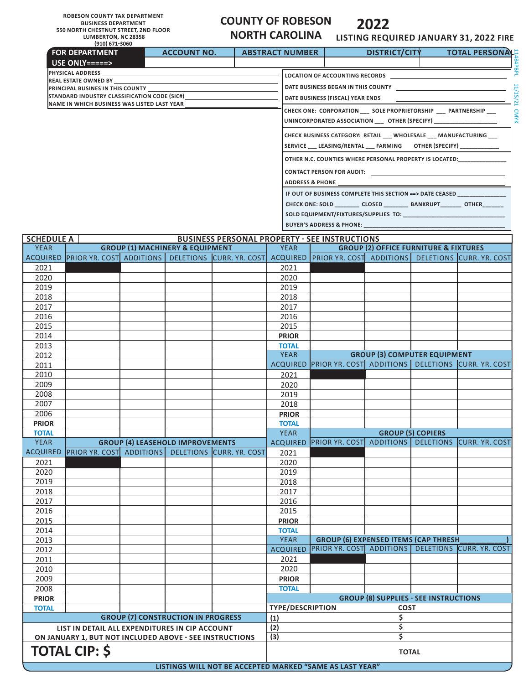**ROBESON COUNTY TAX DEPARTMENT BUSINESS DEPARTMENT 550 NORTH CHESTNUT STREET, 2ND FLOOR LUMBERTON, NC 28358 (910) 671-3060**

**FOR DEPARTMENT USE ONLY=====>**

# **COUNTY OF ROBESON**

## **NORTH CAROLINA**

**ACCOUNT NO. ABSTRACT NUMBER**

# **2022**

**LISTING REQUIRED JANUARY 31, 2022 FIRE DISTRICT/CITY TOTAL PERSONALLY**<br> **DISTRICT/CITY** 

|                   | <b>PHYSICAL ADDRESS</b> |                                                                                                           |  |                                            |                                                            |                                                                                                                  |                                                                                                                                                                                                                                     |                                                  |                          |  |  |  |  |
|-------------------|-------------------------|-----------------------------------------------------------------------------------------------------------|--|--------------------------------------------|------------------------------------------------------------|------------------------------------------------------------------------------------------------------------------|-------------------------------------------------------------------------------------------------------------------------------------------------------------------------------------------------------------------------------------|--------------------------------------------------|--------------------------|--|--|--|--|
|                   |                         | <b>REAL ESTATE OWNED BY</b><br>PRINCIPAL BUSINES IN THIS COUNTY                                           |  |                                            |                                                            | DATE BUSINESS BEGAN IN THIS COUNTY                                                                               |                                                                                                                                                                                                                                     |                                                  |                          |  |  |  |  |
|                   |                         | STANDARD INDUSTRY CLASSIFICATION CODE (SIC#)                                                              |  |                                            |                                                            | 11/15/21<br>DATE BUSINESS (FISCAL) YEAR ENDS                                                                     |                                                                                                                                                                                                                                     |                                                  |                          |  |  |  |  |
|                   |                         | NAME IN WHICH BUSINESS WAS LISTED LAST YEAR                                                               |  |                                            |                                                            |                                                                                                                  |                                                                                                                                                                                                                                     |                                                  |                          |  |  |  |  |
|                   |                         |                                                                                                           |  |                                            |                                                            | CHECK ONE: CORPORATION __ SOLE PROPRIETORSHIP __ PARTNERSHIP __<br>UNINCORPORATED ASSOCIATION __ OTHER (SPECIFY) |                                                                                                                                                                                                                                     |                                                  |                          |  |  |  |  |
|                   |                         |                                                                                                           |  |                                            |                                                            | CHECK BUSINESS CATEGORY: RETAIL __ WHOLESALE __ MANUFACTURING __                                                 |                                                                                                                                                                                                                                     |                                                  |                          |  |  |  |  |
|                   |                         |                                                                                                           |  |                                            |                                                            | SERVICE ___ LEASING/RENTAL ___ FARMING OTHER (SPECIFY) ______________                                            |                                                                                                                                                                                                                                     |                                                  |                          |  |  |  |  |
|                   |                         |                                                                                                           |  |                                            |                                                            |                                                                                                                  | OTHER N.C. COUNTIES WHERE PERSONAL PROPERTY IS LOCATED:                                                                                                                                                                             |                                                  |                          |  |  |  |  |
|                   |                         |                                                                                                           |  |                                            |                                                            |                                                                                                                  | <b>CONTACT PERSON FOR AUDIT:</b> NAMEL SERVICE SERVICE SERVICE SERVICE SERVICE SERVICE SERVICE SERVICE SERVICE SERVICE SERVICE SERVICE SERVICE SERVICE SERVICE SERVICE SERVICE SERVICE SERVICE SERVICE SERVICE SERVICE SERVICE SERV |                                                  |                          |  |  |  |  |
|                   |                         |                                                                                                           |  |                                            |                                                            |                                                                                                                  | <b>ADDRESS &amp; PHONE</b><br>IF OUT OF BUSINESS COMPLETE THIS SECTION ==> DATE CEASED                                                                                                                                              |                                                  |                          |  |  |  |  |
|                   |                         |                                                                                                           |  |                                            |                                                            |                                                                                                                  | CHECK ONE: SOLD __________ CLOSED _________ BANKRUPT________ OTHER____                                                                                                                                                              |                                                  |                          |  |  |  |  |
|                   |                         |                                                                                                           |  |                                            |                                                            |                                                                                                                  |                                                                                                                                                                                                                                     |                                                  |                          |  |  |  |  |
|                   |                         |                                                                                                           |  |                                            |                                                            |                                                                                                                  | <b>BUYER'S ADDRESS &amp; PHONE:</b> ___________________                                                                                                                                                                             |                                                  |                          |  |  |  |  |
| <b>SCHEDULE A</b> |                         |                                                                                                           |  |                                            |                                                            |                                                                                                                  | <b>BUSINESS PERSONAL PROPERTY - SEE INSTRUCTIONS</b>                                                                                                                                                                                |                                                  |                          |  |  |  |  |
| <b>YEAR</b>       |                         |                                                                                                           |  | <b>GROUP (1) MACHINERY &amp; EQUIPMENT</b> |                                                            | YEAR                                                                                                             |                                                                                                                                                                                                                                     | <b>GROUP (2) OFFICE FURNITURE &amp; FIXTURES</b> |                          |  |  |  |  |
|                   |                         |                                                                                                           |  |                                            |                                                            |                                                                                                                  | ACQUIRED PRIOR YR. COST ADDITIONS   DELETIONS CURR. YR. COST ACQUIRED   PRIOR YR. COST ADDITIONS   DELETIONS CURR. YR. COST                                                                                                         |                                                  |                          |  |  |  |  |
| 2021              |                         |                                                                                                           |  |                                            |                                                            | 2021                                                                                                             |                                                                                                                                                                                                                                     |                                                  |                          |  |  |  |  |
| 2020              |                         |                                                                                                           |  |                                            |                                                            | 2020                                                                                                             |                                                                                                                                                                                                                                     |                                                  |                          |  |  |  |  |
| 2019              |                         |                                                                                                           |  |                                            |                                                            | 2019                                                                                                             |                                                                                                                                                                                                                                     |                                                  |                          |  |  |  |  |
| 2018              |                         |                                                                                                           |  |                                            |                                                            | 2018                                                                                                             |                                                                                                                                                                                                                                     |                                                  |                          |  |  |  |  |
| 2017              |                         |                                                                                                           |  |                                            |                                                            | 2017                                                                                                             |                                                                                                                                                                                                                                     |                                                  |                          |  |  |  |  |
| 2016              |                         |                                                                                                           |  |                                            |                                                            | 2016                                                                                                             |                                                                                                                                                                                                                                     |                                                  |                          |  |  |  |  |
| 2015              |                         |                                                                                                           |  |                                            |                                                            | 2015                                                                                                             |                                                                                                                                                                                                                                     |                                                  |                          |  |  |  |  |
| 2014              |                         |                                                                                                           |  |                                            |                                                            | <b>PRIOR</b>                                                                                                     |                                                                                                                                                                                                                                     |                                                  |                          |  |  |  |  |
| 2013              |                         |                                                                                                           |  |                                            |                                                            | <b>TOTAL</b><br><b>YEAR</b>                                                                                      |                                                                                                                                                                                                                                     | <b>GROUP (3) COMPUTER EQUIPMENT</b>              |                          |  |  |  |  |
| 2012<br>2011      |                         |                                                                                                           |  |                                            |                                                            |                                                                                                                  | ACQUIRED PRIOR YR. COST ADDITIONS DELETIONS CURR. YR. COST                                                                                                                                                                          |                                                  |                          |  |  |  |  |
| 2010              |                         |                                                                                                           |  |                                            |                                                            | 2021                                                                                                             |                                                                                                                                                                                                                                     |                                                  |                          |  |  |  |  |
| 2009              |                         |                                                                                                           |  |                                            |                                                            | 2020                                                                                                             |                                                                                                                                                                                                                                     |                                                  |                          |  |  |  |  |
| 2008              |                         |                                                                                                           |  |                                            |                                                            | 2019                                                                                                             |                                                                                                                                                                                                                                     |                                                  |                          |  |  |  |  |
| 2007              |                         |                                                                                                           |  |                                            |                                                            | 2018                                                                                                             |                                                                                                                                                                                                                                     |                                                  |                          |  |  |  |  |
| 2006              |                         |                                                                                                           |  |                                            |                                                            | <b>PRIOR</b>                                                                                                     |                                                                                                                                                                                                                                     |                                                  |                          |  |  |  |  |
| <b>PRIOR</b>      |                         |                                                                                                           |  |                                            |                                                            | <b>TOTAL</b>                                                                                                     |                                                                                                                                                                                                                                     |                                                  |                          |  |  |  |  |
| <b>TOTAL</b>      |                         |                                                                                                           |  |                                            |                                                            | <b>YEAR</b>                                                                                                      |                                                                                                                                                                                                                                     |                                                  | <b>GROUP (5) COPIERS</b> |  |  |  |  |
| <b>YEAR</b>       |                         |                                                                                                           |  | <b>GROUP (4) LEASEHOLD IMPROVEMENTS</b>    |                                                            |                                                                                                                  | ACQUIRED PRIOR YR. COST ADDITIONS DELETIONS CURR. YR. COST                                                                                                                                                                          |                                                  |                          |  |  |  |  |
|                   |                         |                                                                                                           |  |                                            | ACQUIRED PRIOR YR. COST ADDITIONS DELETIONS CURR. YR. COST | 2021                                                                                                             |                                                                                                                                                                                                                                     |                                                  |                          |  |  |  |  |
| 2021              |                         |                                                                                                           |  |                                            |                                                            | 2020                                                                                                             |                                                                                                                                                                                                                                     |                                                  |                          |  |  |  |  |
| 2020              |                         |                                                                                                           |  |                                            |                                                            | 2019                                                                                                             |                                                                                                                                                                                                                                     |                                                  |                          |  |  |  |  |
| 2019<br>2018      |                         |                                                                                                           |  |                                            |                                                            | 2018<br>2017                                                                                                     |                                                                                                                                                                                                                                     |                                                  |                          |  |  |  |  |
| 2017              |                         |                                                                                                           |  |                                            |                                                            | 2016                                                                                                             |                                                                                                                                                                                                                                     |                                                  |                          |  |  |  |  |
| 2016              |                         |                                                                                                           |  |                                            |                                                            | 2015                                                                                                             |                                                                                                                                                                                                                                     |                                                  |                          |  |  |  |  |
| 2015              |                         |                                                                                                           |  |                                            |                                                            | <b>PRIOR</b>                                                                                                     |                                                                                                                                                                                                                                     |                                                  |                          |  |  |  |  |
| 2014              |                         |                                                                                                           |  |                                            |                                                            | <b>TOTAL</b>                                                                                                     |                                                                                                                                                                                                                                     |                                                  |                          |  |  |  |  |
| 2013              |                         |                                                                                                           |  |                                            |                                                            | <b>YEAR</b>                                                                                                      | <b>GROUP (6) EXPENSED ITEMS (CAP THRESH</b>                                                                                                                                                                                         |                                                  |                          |  |  |  |  |
| 2012              |                         |                                                                                                           |  |                                            |                                                            | <b>ACQUIRED</b>                                                                                                  | <b>PRIOR YR. COST ADDITIONS</b>                                                                                                                                                                                                     |                                                  | DELETIONS CURR. YR. COST |  |  |  |  |
| 2011              |                         |                                                                                                           |  |                                            |                                                            | 2021                                                                                                             |                                                                                                                                                                                                                                     |                                                  |                          |  |  |  |  |
| 2010              |                         |                                                                                                           |  |                                            |                                                            | 2020                                                                                                             |                                                                                                                                                                                                                                     |                                                  |                          |  |  |  |  |
| 2009              |                         |                                                                                                           |  |                                            |                                                            | <b>PRIOR</b>                                                                                                     |                                                                                                                                                                                                                                     |                                                  |                          |  |  |  |  |
| 2008              |                         |                                                                                                           |  |                                            |                                                            | <b>TOTAL</b>                                                                                                     |                                                                                                                                                                                                                                     |                                                  |                          |  |  |  |  |
| <b>PRIOR</b>      |                         |                                                                                                           |  |                                            |                                                            |                                                                                                                  |                                                                                                                                                                                                                                     | <b>GROUP (8) SUPPLIES - SEE INSTRUCTIONS</b>     |                          |  |  |  |  |
| <b>TOTAL</b>      |                         |                                                                                                           |  | <b>GROUP (7) CONSTRUCTION IN PROGRESS</b>  |                                                            | <b>TYPE/DESCRIPTION</b>                                                                                          |                                                                                                                                                                                                                                     | <b>COST</b><br>\$                                |                          |  |  |  |  |
|                   |                         |                                                                                                           |  |                                            |                                                            | (1)<br>(2)                                                                                                       |                                                                                                                                                                                                                                     | \$                                               |                          |  |  |  |  |
|                   |                         | LIST IN DETAIL ALL EXPENDITURES IN CIP ACCOUNT<br>ON JANUARY 1, BUT NOT INCLUDED ABOVE - SEE INSTRUCTIONS |  |                                            |                                                            | $\overline{3}$                                                                                                   |                                                                                                                                                                                                                                     | \$                                               |                          |  |  |  |  |
|                   |                         |                                                                                                           |  |                                            |                                                            |                                                                                                                  |                                                                                                                                                                                                                                     |                                                  |                          |  |  |  |  |
|                   |                         | <b>TOTAL CIP: \$</b>                                                                                      |  |                                            |                                                            |                                                                                                                  |                                                                                                                                                                                                                                     | <b>TOTAL</b>                                     |                          |  |  |  |  |
|                   |                         |                                                                                                           |  |                                            |                                                            |                                                                                                                  | LISTINGS WILL NOT BE ACCEPTED MARKED "SAME AS LAST YEAR"                                                                                                                                                                            |                                                  |                          |  |  |  |  |
|                   |                         |                                                                                                           |  |                                            |                                                            |                                                                                                                  |                                                                                                                                                                                                                                     |                                                  |                          |  |  |  |  |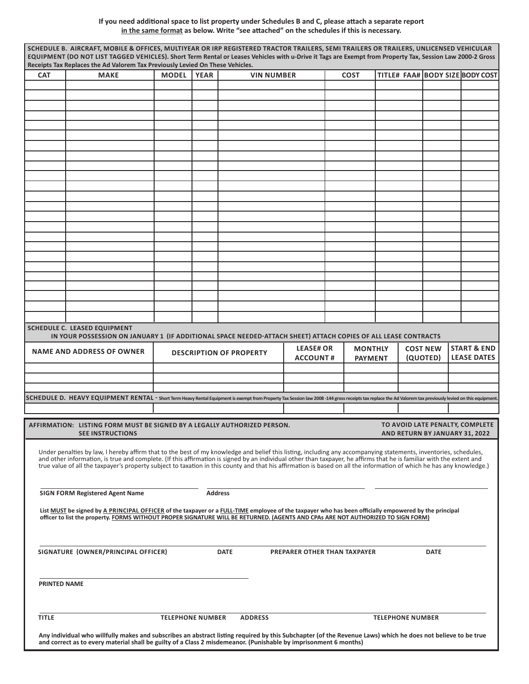#### **If you need additional space to list property under Schedules B and C, please attach a separate report in the same format as below. Write "see attached" on the schedules if this is necessary.**

| <b>CAT</b>          | Receipts Tax Replaces the Ad Valorem Tax Previously Levied On These Vehicles.<br><b>MAKE</b> | <b>MODEL</b> | <b>YEAR</b>    | <b>VIN NUMBER</b>                                                                                                                                                                                                                                                                                                                                                                                                                                                                                                 |                                     | <b>COST</b>                      | TITLE# FAA# BODY SIZE BODY COST                                   |                             |                                              |
|---------------------|----------------------------------------------------------------------------------------------|--------------|----------------|-------------------------------------------------------------------------------------------------------------------------------------------------------------------------------------------------------------------------------------------------------------------------------------------------------------------------------------------------------------------------------------------------------------------------------------------------------------------------------------------------------------------|-------------------------------------|----------------------------------|-------------------------------------------------------------------|-----------------------------|----------------------------------------------|
|                     |                                                                                              |              |                |                                                                                                                                                                                                                                                                                                                                                                                                                                                                                                                   |                                     |                                  |                                                                   |                             |                                              |
|                     |                                                                                              |              |                |                                                                                                                                                                                                                                                                                                                                                                                                                                                                                                                   |                                     |                                  |                                                                   |                             |                                              |
|                     |                                                                                              |              |                |                                                                                                                                                                                                                                                                                                                                                                                                                                                                                                                   |                                     |                                  |                                                                   |                             |                                              |
|                     |                                                                                              |              |                |                                                                                                                                                                                                                                                                                                                                                                                                                                                                                                                   |                                     |                                  |                                                                   |                             |                                              |
|                     |                                                                                              |              |                |                                                                                                                                                                                                                                                                                                                                                                                                                                                                                                                   |                                     |                                  |                                                                   |                             |                                              |
|                     |                                                                                              |              |                |                                                                                                                                                                                                                                                                                                                                                                                                                                                                                                                   |                                     |                                  |                                                                   |                             |                                              |
|                     |                                                                                              |              |                |                                                                                                                                                                                                                                                                                                                                                                                                                                                                                                                   |                                     |                                  |                                                                   |                             |                                              |
|                     |                                                                                              |              |                |                                                                                                                                                                                                                                                                                                                                                                                                                                                                                                                   |                                     |                                  |                                                                   |                             |                                              |
|                     |                                                                                              |              |                |                                                                                                                                                                                                                                                                                                                                                                                                                                                                                                                   |                                     |                                  |                                                                   |                             |                                              |
|                     |                                                                                              |              |                |                                                                                                                                                                                                                                                                                                                                                                                                                                                                                                                   |                                     |                                  |                                                                   |                             |                                              |
|                     |                                                                                              |              |                |                                                                                                                                                                                                                                                                                                                                                                                                                                                                                                                   |                                     |                                  |                                                                   |                             |                                              |
|                     |                                                                                              |              |                |                                                                                                                                                                                                                                                                                                                                                                                                                                                                                                                   |                                     |                                  |                                                                   |                             |                                              |
|                     |                                                                                              |              |                |                                                                                                                                                                                                                                                                                                                                                                                                                                                                                                                   |                                     |                                  |                                                                   |                             |                                              |
|                     |                                                                                              |              |                |                                                                                                                                                                                                                                                                                                                                                                                                                                                                                                                   |                                     |                                  |                                                                   |                             |                                              |
|                     |                                                                                              |              |                |                                                                                                                                                                                                                                                                                                                                                                                                                                                                                                                   |                                     |                                  |                                                                   |                             |                                              |
|                     |                                                                                              |              |                |                                                                                                                                                                                                                                                                                                                                                                                                                                                                                                                   |                                     |                                  |                                                                   |                             |                                              |
|                     |                                                                                              |              |                |                                                                                                                                                                                                                                                                                                                                                                                                                                                                                                                   |                                     |                                  |                                                                   |                             |                                              |
|                     |                                                                                              |              |                |                                                                                                                                                                                                                                                                                                                                                                                                                                                                                                                   |                                     |                                  |                                                                   |                             |                                              |
|                     |                                                                                              |              |                |                                                                                                                                                                                                                                                                                                                                                                                                                                                                                                                   |                                     |                                  |                                                                   |                             |                                              |
|                     | <b>SCHEDULE C. LEASED EQUIPMENT</b>                                                          |              |                | IN YOUR POSSESSION ON JANUARY 1 (IF ADDITIONAL SPACE NEEDED-ATTACH SHEET) ATTACH COPIES OF ALL LEASE CONTRACTS                                                                                                                                                                                                                                                                                                                                                                                                    |                                     |                                  |                                                                   |                             |                                              |
|                     | <b>NAME AND ADDRESS OF OWNER</b>                                                             |              |                | <b>DESCRIPTION OF PROPERTY</b>                                                                                                                                                                                                                                                                                                                                                                                                                                                                                    | <b>LEASE# OR</b><br><b>ACCOUNT#</b> | <b>MONTHLY</b><br><b>PAYMENT</b> |                                                                   | <b>COST NEW</b><br>(QUOTED) | <b>START &amp; END</b><br><b>LEASE DATES</b> |
|                     |                                                                                              |              |                |                                                                                                                                                                                                                                                                                                                                                                                                                                                                                                                   |                                     |                                  |                                                                   |                             |                                              |
|                     |                                                                                              |              |                | SCHEDULE D. HEAVY EQUIPMENT RENTAL - Short Term Heavy Rental Equipment is exempt from Property Tax Session law 2008-144 gross receipts tax replace the Ad Valorem tax previously levied on this equipment.                                                                                                                                                                                                                                                                                                        |                                     |                                  |                                                                   |                             |                                              |
|                     |                                                                                              |              |                |                                                                                                                                                                                                                                                                                                                                                                                                                                                                                                                   |                                     |                                  |                                                                   |                             |                                              |
|                     | <b>SEE INSTRUCTIONS</b>                                                                      |              |                | AFFIRMATION: LISTING FORM MUST BE SIGNED BY A LEGALLY AUTHORIZED PERSON.                                                                                                                                                                                                                                                                                                                                                                                                                                          |                                     |                                  | TO AVOID LATE PENALTY, COMPLETE<br>AND RETURN BY JANUARY 31, 2022 |                             |                                              |
|                     |                                                                                              |              |                | Under penalties by law, I hereby affirm that to the best of my knowledge and belief this listing, including any accompanying statements, inventories, schedules,<br>and other information, is true and complete. (If this affirmation is signed by an individual other than taxpayer, he affirms that he is familiar with the extent and<br>true value of all the taxpayer's property subject to taxation in this county and that his affirmation is based on all the information of which he has any knowledge.) |                                     |                                  |                                                                   |                             |                                              |
|                     | <b>SIGN FORM Registered Agent Name</b>                                                       |              | <b>Address</b> |                                                                                                                                                                                                                                                                                                                                                                                                                                                                                                                   |                                     |                                  |                                                                   |                             |                                              |
|                     |                                                                                              |              |                | List MUST be signed by A PRINCIPAL OFFICER of the taxpayer or a FULL-TIME employee of the taxpayer who has been officially empowered by the principal                                                                                                                                                                                                                                                                                                                                                             |                                     |                                  |                                                                   |                             |                                              |
|                     |                                                                                              |              |                | officer to list the property. FORMS WITHOUT PROPER SIGNATURE WILL BE RETURNED. (AGENTS AND CPAs ARE NOT AUTHORIZED TO SIGN FORM)                                                                                                                                                                                                                                                                                                                                                                                  |                                     |                                  |                                                                   |                             |                                              |
|                     |                                                                                              |              |                | <b>DATE</b>                                                                                                                                                                                                                                                                                                                                                                                                                                                                                                       | PREPARER OTHER THAN TAXPAYER        |                                  |                                                                   | <b>DATE</b>                 |                                              |
|                     | SIGNATURE (OWNER/PRINCIPAL OFFICER)                                                          |              |                |                                                                                                                                                                                                                                                                                                                                                                                                                                                                                                                   |                                     |                                  |                                                                   |                             |                                              |
| <b>PRINTED NAME</b> |                                                                                              |              |                |                                                                                                                                                                                                                                                                                                                                                                                                                                                                                                                   |                                     |                                  |                                                                   |                             |                                              |

I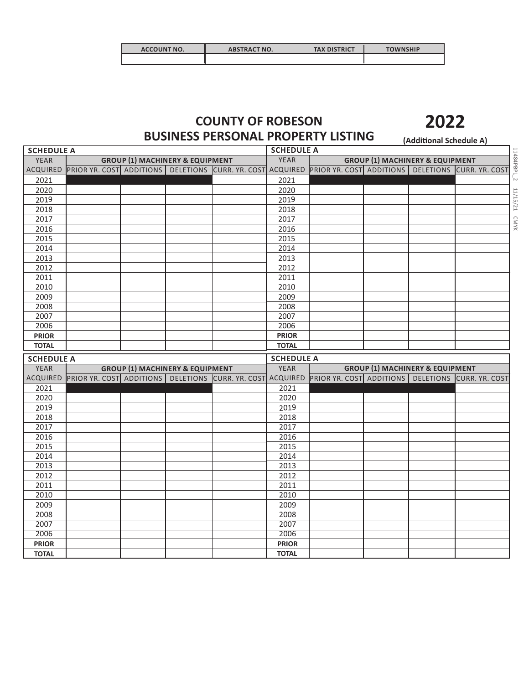| <b>ACCOUNT NO.</b> | <b>ABSTRACT NO.</b> | <b>TAX DISTRICT</b> | <b>TOWNSHIP</b> |
|--------------------|---------------------|---------------------|-----------------|
|                    |                     |                     |                 |

### **COUNTY OF ROBESON BUSINESS PERSONAL PROPERTY LISTING (Additional Schedule A)**

| <b>SCHEDULE A</b>                |  |  |                                            |                                                            | <b>SCHEDULE A</b> |                                            |  |                                            |                                                     |  |  |  |
|----------------------------------|--|--|--------------------------------------------|------------------------------------------------------------|-------------------|--------------------------------------------|--|--------------------------------------------|-----------------------------------------------------|--|--|--|
| <b>YEAR</b>                      |  |  | <b>GROUP (1) MACHINERY &amp; EQUIPMENT</b> |                                                            | <b>YEAR</b>       | <b>GROUP (1) MACHINERY &amp; EQUIPMENT</b> |  |                                            |                                                     |  |  |  |
| ACQUIRED                         |  |  |                                            | PRIOR YR. COST ADDITIONS DELETIONS CURR. YR. COST ACQUIRED |                   |                                            |  |                                            | PRIOR YR. COST ADDITIONS DELETIONS CURR. YR. COST   |  |  |  |
| 2021                             |  |  |                                            |                                                            | 2021              |                                            |  |                                            |                                                     |  |  |  |
| 2020                             |  |  |                                            |                                                            | 2020              |                                            |  |                                            |                                                     |  |  |  |
| 2019                             |  |  |                                            |                                                            | 2019              |                                            |  |                                            |                                                     |  |  |  |
| 2018                             |  |  |                                            |                                                            | 2018              |                                            |  |                                            |                                                     |  |  |  |
| 2017                             |  |  |                                            |                                                            | 2017              |                                            |  |                                            |                                                     |  |  |  |
| 2016                             |  |  |                                            |                                                            | 2016              |                                            |  |                                            |                                                     |  |  |  |
| 2015                             |  |  |                                            |                                                            | 2015              |                                            |  |                                            |                                                     |  |  |  |
| 2014                             |  |  |                                            |                                                            | 2014              |                                            |  |                                            |                                                     |  |  |  |
| 2013                             |  |  |                                            |                                                            | 2013              |                                            |  |                                            |                                                     |  |  |  |
| 2012                             |  |  |                                            |                                                            | 2012              |                                            |  |                                            |                                                     |  |  |  |
| 2011                             |  |  |                                            |                                                            | 2011              |                                            |  |                                            |                                                     |  |  |  |
| 2010                             |  |  |                                            |                                                            | 2010              |                                            |  |                                            |                                                     |  |  |  |
| 2009                             |  |  |                                            |                                                            | 2009              |                                            |  |                                            |                                                     |  |  |  |
| 2008                             |  |  |                                            |                                                            | 2008              |                                            |  |                                            |                                                     |  |  |  |
| 2007                             |  |  |                                            |                                                            | 2007              |                                            |  |                                            |                                                     |  |  |  |
| 2006                             |  |  |                                            |                                                            | 2006              |                                            |  |                                            |                                                     |  |  |  |
| <b>PRIOR</b>                     |  |  |                                            |                                                            | <b>PRIOR</b>      |                                            |  |                                            |                                                     |  |  |  |
| <b>TOTAL</b>                     |  |  |                                            |                                                            | <b>TOTAL</b>      |                                            |  |                                            |                                                     |  |  |  |
|                                  |  |  |                                            |                                                            |                   |                                            |  |                                            |                                                     |  |  |  |
|                                  |  |  |                                            |                                                            | <b>SCHEDULE A</b> |                                            |  |                                            |                                                     |  |  |  |
| <b>SCHEDULE A</b><br><b>YEAR</b> |  |  |                                            |                                                            | <b>YEAR</b>       |                                            |  |                                            |                                                     |  |  |  |
| ACQUIRED                         |  |  | <b>GROUP (1) MACHINERY &amp; EQUIPMENT</b> | PRIOR YR. COST ADDITIONS DELETIONS CURR. YR. COST ACQUIRED |                   |                                            |  | <b>GROUP (1) MACHINERY &amp; EQUIPMENT</b> | PRIOR YR. COST ADDITIONS   DELETIONS CURR. YR. COST |  |  |  |
|                                  |  |  |                                            |                                                            |                   |                                            |  |                                            |                                                     |  |  |  |
| 2021<br>2020                     |  |  |                                            |                                                            | 2021<br>2020      |                                            |  |                                            |                                                     |  |  |  |
| 2019                             |  |  |                                            |                                                            | 2019              |                                            |  |                                            |                                                     |  |  |  |
| 2018                             |  |  |                                            |                                                            | 2018              |                                            |  |                                            |                                                     |  |  |  |
| 2017                             |  |  |                                            |                                                            | 2017              |                                            |  |                                            |                                                     |  |  |  |
| 2016                             |  |  |                                            |                                                            | 2016              |                                            |  |                                            |                                                     |  |  |  |
| 2015                             |  |  |                                            |                                                            | 2015              |                                            |  |                                            |                                                     |  |  |  |
| 2014                             |  |  |                                            |                                                            | 2014              |                                            |  |                                            |                                                     |  |  |  |
| 2013                             |  |  |                                            |                                                            | 2013              |                                            |  |                                            |                                                     |  |  |  |
| 2012                             |  |  |                                            |                                                            | 2012              |                                            |  |                                            |                                                     |  |  |  |
| 2011                             |  |  |                                            |                                                            | 2011              |                                            |  |                                            |                                                     |  |  |  |
| 2010                             |  |  |                                            |                                                            | 2010              |                                            |  |                                            |                                                     |  |  |  |
| 2009                             |  |  |                                            |                                                            | 2009              |                                            |  |                                            |                                                     |  |  |  |
| 2008                             |  |  |                                            |                                                            | 2008              |                                            |  |                                            |                                                     |  |  |  |
| 2007                             |  |  |                                            |                                                            | 2007              |                                            |  |                                            |                                                     |  |  |  |
| 2006                             |  |  |                                            |                                                            | 2006              |                                            |  |                                            |                                                     |  |  |  |
| <b>PRIOR</b>                     |  |  |                                            |                                                            | <b>PRIOR</b>      |                                            |  |                                            |                                                     |  |  |  |

CMYK

**2**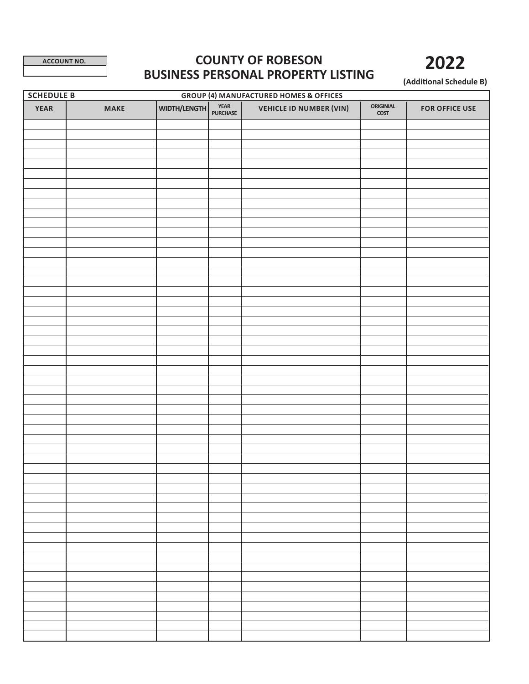# **ACCOUNT NO. COUNTY OF ROBESON BUSINESS PERSONAL PROPERTY LISTING**

**(Additional Schedule B)**

**2022**

| <b>SCHEDULE B</b><br><b>GROUP (4) MANUFACTURED HOMES &amp; OFFICES</b> |             |              |                         |                                |                                              |                       |  |  |  |
|------------------------------------------------------------------------|-------------|--------------|-------------------------|--------------------------------|----------------------------------------------|-----------------------|--|--|--|
| <b>YEAR</b>                                                            | <b>MAKE</b> | WIDTH/LENGTH | <b>YEAR</b><br>PURCHASE | <b>VEHICLE ID NUMBER (VIN)</b> | <b>ORIGINIAL</b><br>$\overline{\text{COST}}$ | <b>FOR OFFICE USE</b> |  |  |  |
|                                                                        |             |              |                         |                                |                                              |                       |  |  |  |
|                                                                        |             |              |                         |                                |                                              |                       |  |  |  |
|                                                                        |             |              |                         |                                |                                              |                       |  |  |  |
|                                                                        |             |              |                         |                                |                                              |                       |  |  |  |
|                                                                        |             |              |                         |                                |                                              |                       |  |  |  |
|                                                                        |             |              |                         |                                |                                              |                       |  |  |  |
|                                                                        |             |              |                         |                                |                                              |                       |  |  |  |
|                                                                        |             |              |                         |                                |                                              |                       |  |  |  |
|                                                                        |             |              |                         |                                |                                              |                       |  |  |  |
|                                                                        |             |              |                         |                                |                                              |                       |  |  |  |
|                                                                        |             |              |                         |                                |                                              |                       |  |  |  |
|                                                                        |             |              |                         |                                |                                              |                       |  |  |  |
|                                                                        |             |              |                         |                                |                                              |                       |  |  |  |
|                                                                        |             |              |                         |                                |                                              |                       |  |  |  |
|                                                                        |             |              |                         |                                |                                              |                       |  |  |  |
|                                                                        |             |              |                         |                                |                                              |                       |  |  |  |
|                                                                        |             |              |                         |                                |                                              |                       |  |  |  |
|                                                                        |             |              |                         |                                |                                              |                       |  |  |  |
|                                                                        |             |              |                         |                                |                                              |                       |  |  |  |
|                                                                        |             |              |                         |                                |                                              |                       |  |  |  |
|                                                                        |             |              |                         |                                |                                              |                       |  |  |  |
|                                                                        |             |              |                         |                                |                                              |                       |  |  |  |
|                                                                        |             |              |                         |                                |                                              |                       |  |  |  |
|                                                                        |             |              |                         |                                |                                              |                       |  |  |  |
|                                                                        |             |              |                         |                                |                                              |                       |  |  |  |
|                                                                        |             |              |                         |                                |                                              |                       |  |  |  |
|                                                                        |             |              |                         |                                |                                              |                       |  |  |  |
|                                                                        |             |              |                         |                                |                                              |                       |  |  |  |
|                                                                        |             |              |                         |                                |                                              |                       |  |  |  |
|                                                                        |             |              |                         |                                |                                              |                       |  |  |  |
|                                                                        |             |              |                         |                                |                                              |                       |  |  |  |
|                                                                        |             |              |                         |                                |                                              |                       |  |  |  |
|                                                                        |             |              |                         |                                |                                              |                       |  |  |  |
|                                                                        |             |              |                         |                                |                                              |                       |  |  |  |
|                                                                        |             |              |                         |                                |                                              |                       |  |  |  |
|                                                                        |             |              |                         |                                |                                              |                       |  |  |  |
|                                                                        |             |              |                         |                                |                                              |                       |  |  |  |
|                                                                        |             |              |                         |                                |                                              |                       |  |  |  |
|                                                                        |             |              |                         |                                |                                              |                       |  |  |  |
|                                                                        |             |              |                         |                                |                                              |                       |  |  |  |
|                                                                        |             |              |                         |                                |                                              |                       |  |  |  |
|                                                                        |             |              |                         |                                |                                              |                       |  |  |  |
|                                                                        |             |              |                         |                                |                                              |                       |  |  |  |
|                                                                        |             |              |                         |                                |                                              |                       |  |  |  |
|                                                                        |             |              |                         |                                |                                              |                       |  |  |  |
|                                                                        |             |              |                         |                                |                                              |                       |  |  |  |
|                                                                        |             |              |                         |                                |                                              |                       |  |  |  |